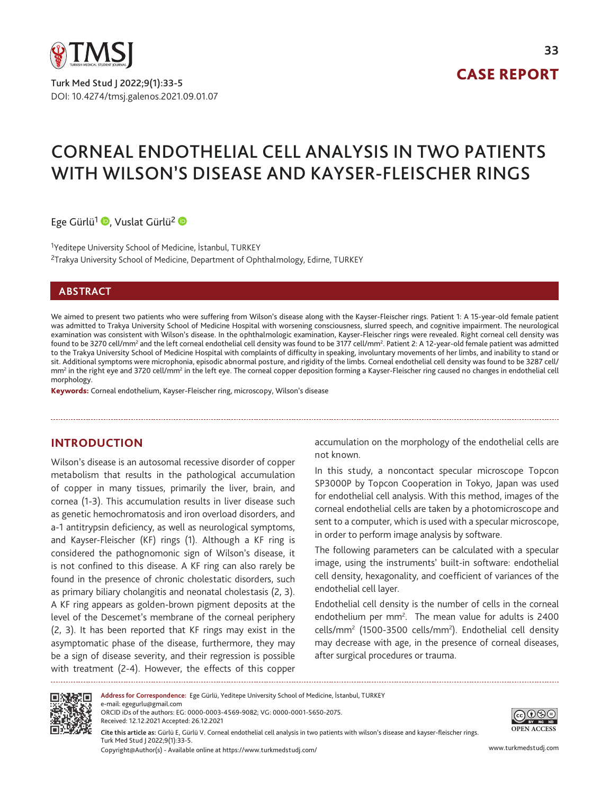

Turk Med Stud J 2022;9(1):33-5 DOI: 10.4274/tmsj.galenos.2021.09.01.07

# CASE REPORT

**33**

# CORNEAL ENDOTHELIAL CELL ANALYSIS IN TWO PATIENTS WITH WILSON'S DISEASE AND KAYSER-FLEISCHER RINGS

Ege Gürlü<sup>1</sup> [,](https://orcid.org/0000-0003-4569-9082) Vuslat Gürlü<sup>2</sup> D

<sup>1</sup>Yeditepe University School of Medicine, İstanbul, TURKEY <sup>2</sup>Trakya University School of Medicine, Department of Ophthalmology, Edirne, TURKEY

#### **ABSTRACT**

We aimed to present two patients who were suffering from Wilson's disease along with the Kayser-Fleischer rings. Patient 1: A 15-year-old female patient was admitted to Trakya University School of Medicine Hospital with worsening consciousness, slurred speech, and cognitive impairment. The neurological examination was consistent with Wilson's disease. In the ophthalmologic examination, Kayser-Fleischer rings were revealed. Right corneal cell density was found to be 3270 cell/mm<sup>2</sup> and the left corneal endothelial cell density was found to be 3177 cell/mm<sup>2</sup>. Patient 2: A 12-year-old female patient was admitted to the Trakya University School of Medicine Hospital with complaints of difficulty in speaking, involuntary movements of her limbs, and inability to stand or sit. Additional symptoms were microphonia, episodic abnormal posture, and rigidity of the limbs. Corneal endothelial cell density was found to be 3287 cell/ mm<sup>2</sup> in the right eye and 3720 cell/mm<sup>2</sup> in the left eye. The corneal copper deposition forming a Kayser-Fleischer ring caused no changes in endothelial cell morphology.

Keywords: Corneal endothelium, Kayser-Fleischer ring, microscopy, Wilson's disease

# **INTRODUCTION**

Wilson's disease is an autosomal recessive disorder of copper metabolism that results in the pathological accumulation of copper in many tissues, primarily the liver, brain, and cornea (1-3). This accumulation results in liver disease such as genetic hemochromatosis and iron overload disorders, and a-1 antitrypsin deficiency, as well as neurological symptoms, and Kayser-Fleischer (KF) rings (1). Although a KF ring is considered the pathognomonic sign of Wilson's disease, it is not confined to this disease. A KF ring can also rarely be found in the presence of chronic cholestatic disorders, such as primary biliary cholangitis and neonatal cholestasis (2, 3). A KF ring appears as golden-brown pigment deposits at the level of the Descemet's membrane of the corneal periphery (2, 3). It has been reported that KF rings may exist in the asymptomatic phase of the disease, furthermore, they may be a sign of disease severity, and their regression is possible with treatment (2-4). However, the effects of this copper

accumulation on the morphology of the endothelial cells are not known.

In this study, a noncontact specular microscope Topcon SP3000P by Topcon Cooperation in Tokyo, Japan was used for endothelial cell analysis. With this method, images of the corneal endothelial cells are taken by a photomicroscope and sent to a computer, which is used with a specular microscope, in order to perform image analysis by software.

The following parameters can be calculated with a specular image, using the instruments' built-in software: endothelial cell density, hexagonality, and coefficient of variances of the endothelial cell layer.

Endothelial cell density is the number of cells in the corneal endothelium per mm<sup>2</sup>. The mean value for adults is 2400 cells/mm<sup>2</sup> (1500-3500 cells/mm<sup>2</sup>). Endothelial cell density may decrease with age, in the presence of corneal diseases, after surgical procedures or trauma.



Copyright@Author(s) - Available online at https://www.turkmedstudj.com/ www.turkmedstudj.com **Cite this article as:** Gürlü E, Gürlü V. Corneal endothelial cell analysis in two patients with wilson's disease and kayser-fleischer rings. Turk Med Stud J 2022;9(1):33-5. **Address for Correspondence:** Ege Gürlü, Yeditepe University School of Medicine, İstanbul, TURKEY e-mail: egegurlu@gmail.com ORCID iDs of the authors: EG: 0000-0003-4569-9082; VG: 0000-0001-5650-2075. Received: 12.12.2021 Accepted: 26.12.2021

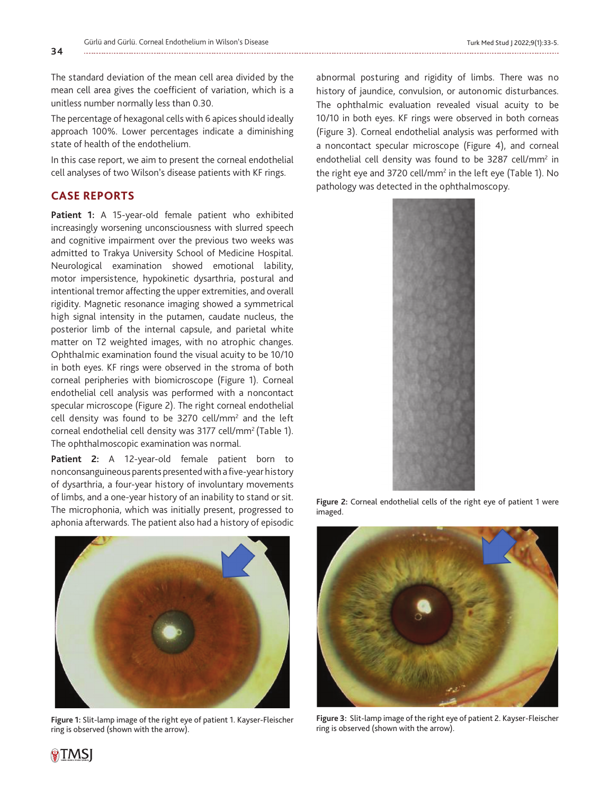The standard deviation of the mean cell area divided by the mean cell area gives the coefficient of variation, which is a unitless number normally less than 0.30.

The percentage of hexagonal cells with 6 apices should ideally approach 100%. Lower percentages indicate a diminishing state of health of the endothelium.

In this case report, we aim to present the corneal endothelial cell analyses of two Wilson's disease patients with KF rings.

### **CASE REPORTS**

**Patient 1:** A 15-year-old female patient who exhibited increasingly worsening unconsciousness with slurred speech and cognitive impairment over the previous two weeks was admitted to Trakya University School of Medicine Hospital. Neurological examination showed emotional lability, motor impersistence, hypokinetic dysarthria, postural and intentional tremor affecting the upper extremities, and overall rigidity. Magnetic resonance imaging showed a symmetrical high signal intensity in the putamen, caudate nucleus, the posterior limb of the internal capsule, and parietal white matter on T2 weighted images, with no atrophic changes. Ophthalmic examination found the visual acuity to be 10/10 in both eyes. KF rings were observed in the stroma of both corneal peripheries with biomicroscope (Figure 1). Corneal endothelial cell analysis was performed with a noncontact specular microscope (Figure 2). The right corneal endothelial cell density was found to be 3270 cell/mm<sup>2</sup> and the left corneal endothelial cell density was 3177 cell/mm<sup>2</sup> (Table 1). The ophthalmoscopic examination was normal.

**Patient 2:** A 12-year-old female patient born to nonconsanguineous parents presented with a five-year history of dysarthria, a four-year history of involuntary movements of limbs, and a one-year history of an inability to stand or sit. The microphonia, which was initially present, progressed to aphonia afterwards. The patient also had a history of episodic



**Figure 1:** Slit-lamp image of the right eye of patient 1. Kayser-Fleischer ring is observed (shown with the arrow).

abnormal posturing and rigidity of limbs. There was no history of jaundice, convulsion, or autonomic disturbances. The ophthalmic evaluation revealed visual acuity to be 10/10 in both eyes. KF rings were observed in both corneas (Figure 3). Corneal endothelial analysis was performed with a noncontact specular microscope (Figure 4), and corneal endothelial cell density was found to be 3287 cell/mm<sup>2</sup> in the right eye and 3720 cell/mm<sup>2</sup> in the left eye (Table 1). No pathology was detected in the ophthalmoscopy.



**Figure 2:** Corneal endothelial cells of the right eye of patient 1 were imaged.



**Figure 3:** Slit-lamp image of the right eye of patient 2. Kayser-Fleischer ring is observed (shown with the arrow).